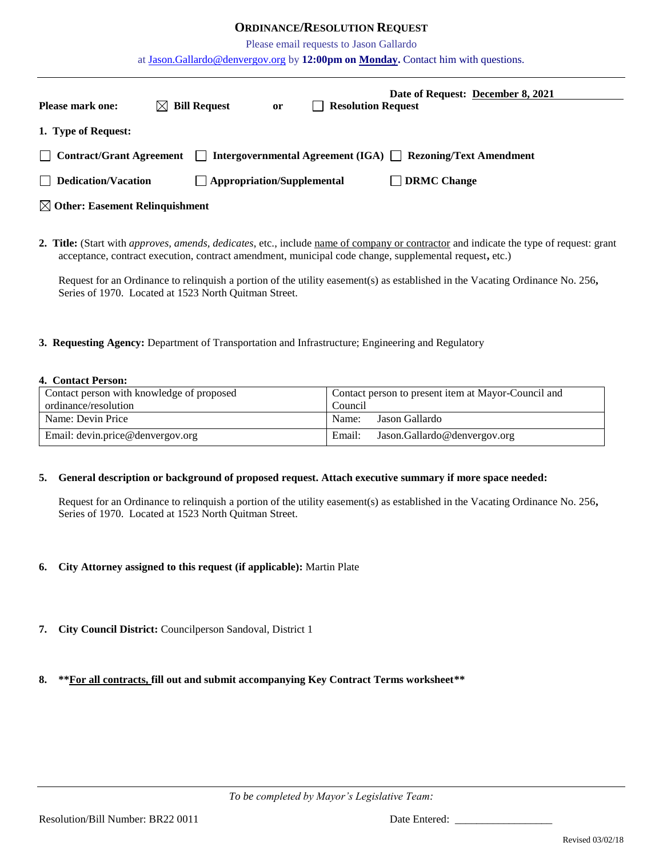## **ORDINANCE/RESOLUTION REQUEST**

Please email requests to Jason Gallardo

at [Jason.Gallardo@denvergov.org](mailto:Jason.Gallardo@denvergov.org) by **12:00pm on Monday.** Contact him with questions.

| <b>Please mark one:</b>                                                                                     |  | $\boxtimes$ Bill Request          | <b>or</b> | <b>Resolution Request</b><br>$\mathbf{I}$ | Date of Request: December 8, 2021 |  |  |
|-------------------------------------------------------------------------------------------------------------|--|-----------------------------------|-----------|-------------------------------------------|-----------------------------------|--|--|
| 1. Type of Request:                                                                                         |  |                                   |           |                                           |                                   |  |  |
| Intergovernmental Agreement (IGA) □ Rezoning/Text Amendment<br>    Contract/Grant Agreement<br>$\mathbf{1}$ |  |                                   |           |                                           |                                   |  |  |
| $\Box$ Dedication/Vacation                                                                                  |  | $\Box$ Appropriation/Supplemental |           |                                           | <b>DRMC Change</b>                |  |  |
| $\boxtimes$ Other: Easement Relinquishment                                                                  |  |                                   |           |                                           |                                   |  |  |
|                                                                                                             |  |                                   |           |                                           |                                   |  |  |

**2. Title:** (Start with *approves, amends, dedicates*, etc., include name of company or contractor and indicate the type of request: grant acceptance, contract execution, contract amendment, municipal code change, supplemental request**,** etc.)

Request for an Ordinance to relinquish a portion of the utility easement(s) as established in the Vacating Ordinance No. 256**,**  Series of 1970. Located at 1523 North Quitman Street.

**3. Requesting Agency:** Department of Transportation and Infrastructure; Engineering and Regulatory

## **4. Contact Person:**

| Contact person with knowledge of proposed | Contact person to present item at Mayor-Council and |  |  |
|-------------------------------------------|-----------------------------------------------------|--|--|
| ordinance/resolution                      | Council                                             |  |  |
| Name: Devin Price                         | Jason Gallardo<br>Name:                             |  |  |
| Email: devin.price@denvergov.org          | Jason.Gallardo@denvergov.org<br>Email:              |  |  |

## **5. General description or background of proposed request. Attach executive summary if more space needed:**

Request for an Ordinance to relinquish a portion of the utility easement(s) as established in the Vacating Ordinance No. 256**,**  Series of 1970. Located at 1523 North Quitman Street.

- **6. City Attorney assigned to this request (if applicable):** Martin Plate
- **7. City Council District:** Councilperson Sandoval, District 1
- **8. \*\*For all contracts, fill out and submit accompanying Key Contract Terms worksheet\*\***